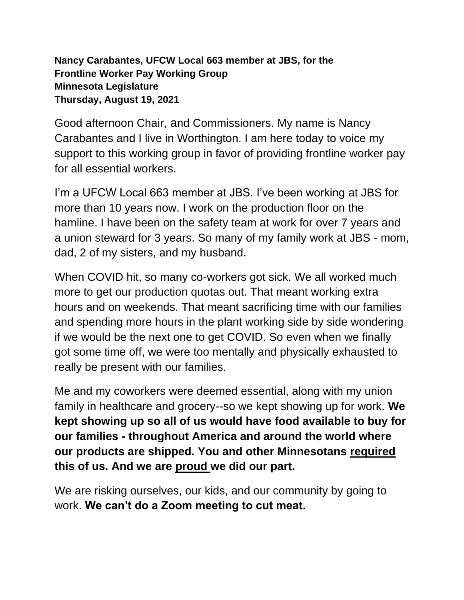## **Nancy Carabantes, UFCW Local 663 member at JBS, for the Frontline Worker Pay Working Group Minnesota Legislature Thursday, August 19, 2021**

Good afternoon Chair, and Commissioners. My name is Nancy Carabantes and I live in Worthington. I am here today to voice my support to this working group in favor of providing frontline worker pay for all essential workers.

I'm a UFCW Local 663 member at JBS. I've been working at JBS for more than 10 years now. I work on the production floor on the hamline. I have been on the safety team at work for over 7 years and a union steward for 3 years. So many of my family work at JBS - mom, dad, 2 of my sisters, and my husband.

When COVID hit, so many co-workers got sick. We all worked much more to get our production quotas out. That meant working extra hours and on weekends. That meant sacrificing time with our families and spending more hours in the plant working side by side wondering if we would be the next one to get COVID. So even when we finally got some time off, we were too mentally and physically exhausted to really be present with our families.

Me and my coworkers were deemed essential, along with my union family in healthcare and grocery--so we kept showing up for work. **We kept showing up so all of us would have food available to buy for our families - throughout America and around the world where our products are shipped. You and other Minnesotans required this of us. And we are proud we did our part.**

We are risking ourselves, our kids, and our community by going to work. **We can't do a Zoom meeting to cut meat.**